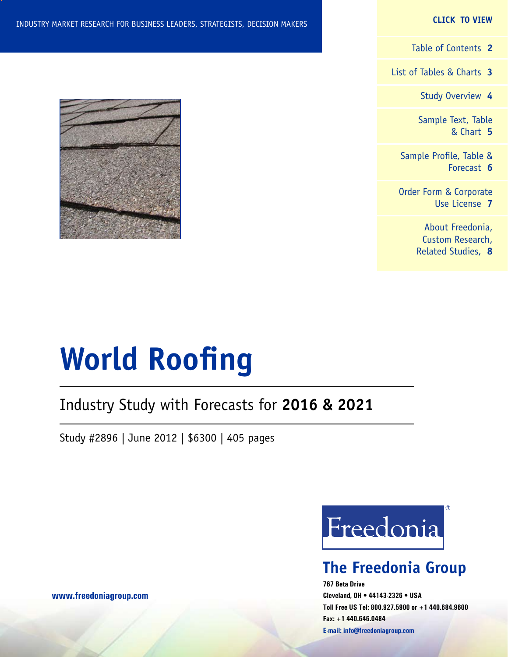#### **CLICK TO VIEW**

[Table of Contents](#page-1-0) **2**

[List of Tables & Charts](#page-2-0) **3**

[Study Overview](#page-3-0) **4**

[Sample Text, Table](#page-4-0) [& Chart](#page-4-0) **5**

[Sample Profile, Table &](#page-5-0) [Forecast](#page-5-0) **6**

[Order Form & Corporate](#page-6-0) [Use License](#page-6-0) **7**

> [About Freedonia,](#page-7-0) [Custom Research,](#page-7-0) [Related Studies,](#page-7-0) **8**



# **World Roofing**

## Industry Study with Forecasts for **2016 & 2021**

Study #2896 | June 2012 | \$6300 | 405 pages



## **The Freedonia Group**

**767 Beta Drive Cleveland, OH • 44143-2326 • USA Toll Free US Tel: 800.927.5900 or +1 440.684.9600 Fax: +1 440.646.0484 E-mail: [info@freedoniagroup.com](mailto:info@freedoniagroup.com)**

**[www.freedoniagroup.com](http://www.freedoniagroup.com/Home.aspx?ReferrerId=FM-Bro)**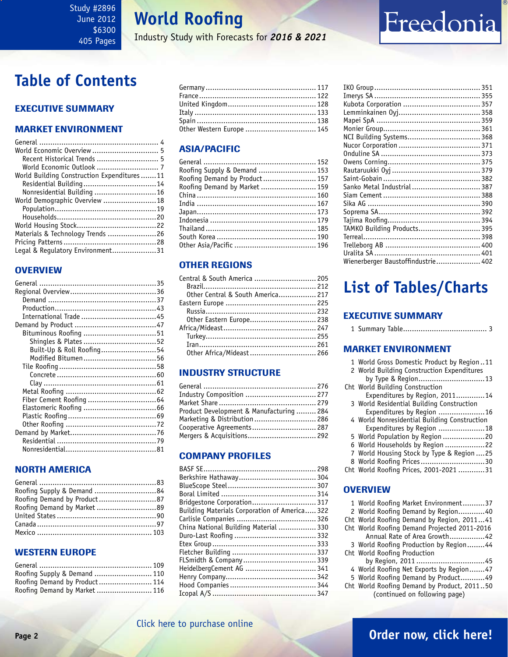### <span id="page-1-0"></span>Study #2896 June 2012 \$6300 405 Pages

# **World Roofing**

Industry Study with Forecasts for *2016 & 2021*

# **Table of Contents**

### Executive Summary

### Market EnvironmenT

| Recent Historical Trends  5                |  |
|--------------------------------------------|--|
| World Economic Outlook  7                  |  |
| World Building Construction Expenditures11 |  |
| Residential Building14                     |  |
| Nonresidential Building 16                 |  |
| World Demographic Overview 18              |  |
|                                            |  |
|                                            |  |
|                                            |  |
| Materials & Technology Trends 26           |  |
|                                            |  |
| Legal & Regulatory Environment31           |  |

### **OVERVIEW**

| Built-Up & Roll Roofing54 |  |
|---------------------------|--|
| Modified Bitumen56        |  |
|                           |  |
|                           |  |
|                           |  |
|                           |  |
|                           |  |
|                           |  |
|                           |  |
|                           |  |
|                           |  |
|                           |  |
|                           |  |
|                           |  |

### NORTH AMERICA

| Roofing Supply & Demand 84  |  |
|-----------------------------|--|
| Roofing Demand by Product87 |  |
| Roofing Demand by Market 89 |  |
|                             |  |
|                             |  |
|                             |  |

### WESTERN EUROPE

| Roofing Supply & Demand  110  |  |
|-------------------------------|--|
| Roofing Demand by Product 114 |  |
| Roofing Demand by Market  116 |  |

| Other Western Europe  145 |  |
|---------------------------|--|

### ASIA/PACIFIC

| Roofing Supply & Demand  153  |  |
|-------------------------------|--|
| Roofing Demand by Product 157 |  |
| Roofing Demand by Market  159 |  |
|                               |  |
|                               |  |
|                               |  |
|                               |  |
|                               |  |
|                               |  |
|                               |  |

### OTHER REGIONS

| Central & South America  205      |  |
|-----------------------------------|--|
|                                   |  |
| Other Central & South America 217 |  |
|                                   |  |
|                                   |  |
| Other Eastern Europe 238          |  |
|                                   |  |
|                                   |  |
|                                   |  |
| Other Africa/Mideast 266          |  |

### INDUSTRY STRUCTURE

| Industry Composition  277                |  |
|------------------------------------------|--|
|                                          |  |
| Product Development & Manufacturing  284 |  |
| Marketing & Distribution  286            |  |
| Cooperative Agreements 287               |  |
| Mergers & Acquisitions 292               |  |
|                                          |  |

### Company Profiles

| Bridgestone Corporation 317                   |  |
|-----------------------------------------------|--|
| Building Materials Corporation of America 322 |  |
|                                               |  |
| China National Building Material  330         |  |
|                                               |  |
|                                               |  |
|                                               |  |
|                                               |  |
| HeidelbergCement AG  341                      |  |
|                                               |  |
|                                               |  |
|                                               |  |

| Sanko Metal Industrial 387         |  |
|------------------------------------|--|
|                                    |  |
|                                    |  |
|                                    |  |
|                                    |  |
| TAMKO Building Products 395        |  |
|                                    |  |
|                                    |  |
|                                    |  |
| Wienerberger Baustoffindustrie 402 |  |
|                                    |  |

Freedonia

# **List of Tables/Charts**

### Executive Summary

|--|--|--|--|

### Market EnvironmenT

|  |  |  |  | 1 World Gross Domestic Product by Region11 |  |  |  |  |
|--|--|--|--|--------------------------------------------|--|--|--|--|
|--|--|--|--|--------------------------------------------|--|--|--|--|

2 World Building Construction Expenditures

| Cht World Building Construction |  |
|---------------------------------|--|
| Expenditures by Region, 201114  |  |
|                                 |  |

- 3 World Residential Building Construction Expenditures by Region .....................16
- 4 World Nonresidential Building Construction Expenditures by Region .....................18
- 5 World Population by Region ...................20
- 6 World Households by Region ..................22
- 7 World Housing Stock by Type & Region ....25 8 World Roofing Prices.............................30
- Cht World Roofing Prices, 2001-2021 ............31

### **OVERVIEW**

|  |  | 1 World Roofing Market Environment37 |  |
|--|--|--------------------------------------|--|
|  |  |                                      |  |

- 2 World Roofing Demand by Region............40
- Cht World Roofing Demand by Region, 2011...41
- Cht World Roofing Demand Projected 2011-2016

 Annual Rate of Area Growth................42 3 World Roofing Production by Region........44 Cht World Roofing Production

by Region, 2011 ...............................45

- 4 World Roofing Net Exports by Region.......47
- 5 World Roofing Demand by Product...........49
- Cht World Roofing Demand by Product, 2011..50 (continued on following page)

## **Page 2 [Order now, click here!](#page-6-0)**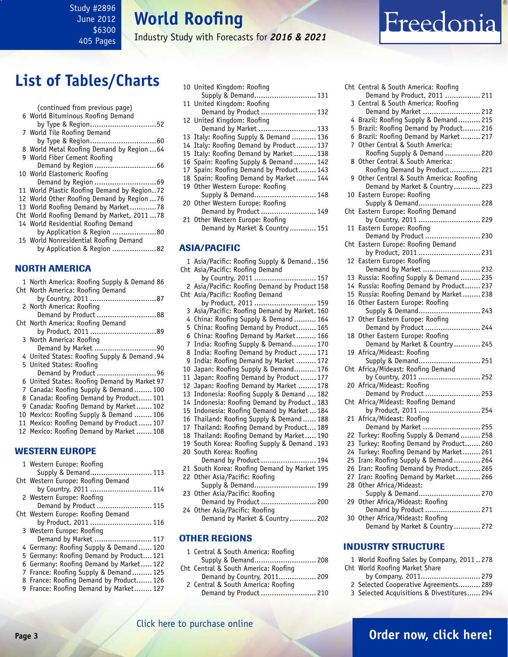### <span id="page-2-0"></span>Study #2896 June 2012 \$6300 405 Pages

**World Roofing**

Industry Study with Forecasts for *2016 & 2021*

# **List of Tables/Charts**

| (continued from previous page)              |
|---------------------------------------------|
| 6 World Bituminous Roofing Demand           |
| by Type & Region52                          |
| 7 World Tile Roofing Demand                 |
|                                             |
| 8 World Metal Roofing Demand by Region  64  |
| 9 World Fiber Cement Roofing                |
|                                             |
| 10 World Elastomeric Roofing                |
|                                             |
| 11 World Plastic Roofing Demand by Region72 |
| 12 World Other Roofing Demand by Region  76 |
| 13 World Roofing Demand by Market78         |
| Cht World Roofing Demand by Market, 201178  |
| 14 World Residential Roofing Demand         |
| by Application & Region 80                  |
| 15 World Nonresidential Roofing Demand      |
| by Application & Region 82                  |
|                                             |

### NORTH AMERICA

|   | 1 North America: Roofing Supply & Demand 86  |
|---|----------------------------------------------|
|   | Cht North America: Roofing Demand            |
|   |                                              |
|   | 2 North America: Roofing                     |
|   | Demand by Product 88                         |
|   | Cht North America: Roofing Demand            |
|   |                                              |
|   | 3 North America: Roofing                     |
|   |                                              |
|   | 4 United States: Roofing Supply & Demand. 94 |
|   | 5 United States: Roofing                     |
|   | Demand by Product 96                         |
|   | 6 United States: Roofing Demand by Market 97 |
|   | 7 Canada: Roofing Supply & Demand 100        |
|   | 8 Canada: Roofing Demand by Product 101      |
| 9 | Canada: Roofing Demand by Market 102         |
|   | 10 Mexico: Roofing Supply & Demand  106      |
|   | 11 Mexico: Roofing Demand by Product 107     |
|   | 12 Mexico: Roofing Demand by Market  108     |
|   |                                              |
|   |                                              |

### WESTERN EUROPE

| 1 Western Europe: Roofing                |
|------------------------------------------|
| Supply & Demand 113                      |
| Cht Western Europe: Roofing Demand       |
| by Country, 2011  114                    |
| 2 Western Europe: Roofing                |
| Demand by Product  115                   |
| Cht Western Europe: Roofing Demand       |
| by Product, 2011  116                    |
| 3 Western Europe: Roofing                |
| Demand by Market  117                    |
| 4 Germany: Roofing Supply & Demand  120  |
| 5 Germany: Roofing Demand by Product 121 |
| 6 Germany: Roofing Demand by Market 122  |
| 7 France: Roofing Supply & Demand 125    |
| 8 France: Roofing Demand by Product 126  |
| 9 France: Roofing Demand by Market 127   |
|                                          |

|  | 10 United Kingdom: Roofing              |  |
|--|-----------------------------------------|--|
|  | Supply & Demand 131                     |  |
|  | 11 United Kingdom: Roofing              |  |
|  | Demand by Product  132                  |  |
|  | 12 United Kingdom: Roofing              |  |
|  | Demand by Market  133                   |  |
|  | 13 Italy: Roofing Supply & Demand  136  |  |
|  | 14 Italy: Roofing Demand by Product 137 |  |
|  | 15 Italy: Roofing Demand by Market 138  |  |
|  | 16 Spain: Roofing Supply & Demand  142  |  |
|  | 17 Spain: Roofing Demand by Product 143 |  |
|  | 18 Spain: Roofing Demand by Market 144  |  |
|  | 19 Other Western Europe: Roofing        |  |
|  | Supply & Demand 148                     |  |
|  | 20 Other Western Europe: Roofing        |  |
|  | Demand by Product  149                  |  |
|  | 21 Other Western Europe: Roofing        |  |
|  | Demand by Market & Country 151          |  |
|  |                                         |  |
|  |                                         |  |

### ASIA/PACIFIC

|                | 1 Asia/Pacific: Roofing Supply & Demand156<br>Cht Asia/Pacific: Roofing Demand |
|----------------|--------------------------------------------------------------------------------|
|                | by Country, 2011  157                                                          |
|                | 2 Asia/Pacific: Roofing Demand by Product 158                                  |
|                | Cht Asia/Pacific: Roofing Demand                                               |
|                | by Product, 2011  159                                                          |
| 3              | Asia/Pacific: Roofing Demand by Market. 160                                    |
|                | 4 China: Roofing Supply & Demand  164                                          |
|                | 5 China: Roofing Demand by Product 165                                         |
|                | 6 China: Roofing Demand by Market 166                                          |
| $\overline{7}$ | India: Roofing Supply & Demand 170                                             |
|                | 8 India: Roofing Demand by Product  171                                        |
| 9              | India: Roofing Demand by Market  172                                           |
| 10             | Japan: Roofing Supply & Demand 176                                             |
| 11             | Japan: Roofing Demand by Product  177                                          |
| 12             | Japan: Roofing Demand by Market  178                                           |
| 13             | Indonesia: Roofing Supply & Demand  182                                        |
|                | 14 Indonesia: Roofing Demand by Product 183                                    |
|                | 15 Indonesia: Roofing Demand by Market  184                                    |
|                | 16 Thailand: Roofing Supply & Demand  188                                      |
|                | 17 Thailand: Roofing Demand by Product 189                                     |
|                | 18 Thailand: Roofing Demand by Market 190                                      |
|                | 19 South Korea: Roofing Supply & Demand. 193<br>20 South Korea: Roofing        |
|                | Demand by Product  194                                                         |
|                | 21 South Korea: Roofing Demand by Market 195                                   |
|                | 22 Other Asia/Pacific: Roofing                                                 |
|                | ны дзіадтасніс, кооппу<br>Supply & Demand 199                                  |
|                | 23 Other Asia/Pacific: Roofing                                                 |
|                | Demand by Product  200                                                         |
|                | 24 Other Asia/Pacific: Roofing                                                 |
|                | Demand by Market & Country  202                                                |
|                | <b>OTHER REGIONS</b>                                                           |
|                |                                                                                |

### 1 Central & South America: Roofing

| Supply & Demand 208                  |  |
|--------------------------------------|--|
| Cht Central & South America: Roofing |  |
| Demand by Country, 2011 209          |  |
| 2 Central & South America: Roofing   |  |
| Demand by Product  210               |  |

|          | Cht Central & South America: Roofing                             |
|----------|------------------------------------------------------------------|
| 3        | Demand by Product, 2011  211<br>Central & South America: Roofing |
|          | Demand by Market  212                                            |
| 4        | Brazil: Roofing Supply & Demand  215                             |
| 5        | Brazil: Roofing Demand by Product 216                            |
| 6        | Brazil: Roofing Demand by Market 217                             |
| 7        | Other Central & South America:                                   |
|          | Roofing Supply & Demand  220                                     |
| 8        | Other Central & South America:                                   |
|          | Roofing Demand by Product 221                                    |
| 9        | Other Central & South America: Roofing                           |
|          | Demand by Market & Country  223                                  |
|          |                                                                  |
| 10       | Eastern Europe: Roofing<br>Supply & Demand 228                   |
|          |                                                                  |
| Cht      | Eastern Europe: Roofing Demand                                   |
|          | by Country, 2011  229                                            |
| 11       | Eastern Europe: Roofing                                          |
|          | Demand by Product  230                                           |
| Cht      | Eastern Europe: Roofing Demand                                   |
|          | by Product, 2011  231                                            |
| 12       | Eastern Europe: Roofing<br>Demand by Market  232                 |
|          |                                                                  |
| 13       | Russia: Roofing Supply & Demand  235                             |
| 14       | Russia: Roofing Demand by Product 237                            |
| 15       | Russia: Roofing Demand by Market 238                             |
| 16       | Other Eastern Europe: Roofing                                    |
|          | Supply & Demand 243                                              |
| 17       | Other Eastern Europe: Roofing                                    |
|          | Demand by Product  244                                           |
| 18       | Other Eastern Europe: Roofing                                    |
|          | Demand by Market & Country  245                                  |
| 19       | Africa/Mideast: Roofing                                          |
|          | Supply & Demand 251                                              |
| Cht      | Africa/Mideast: Roofing Demand                                   |
|          | by Country, 2011  252                                            |
| 20       | Africa/Mideast: Roofing                                          |
|          | Demand by Product  253                                           |
| Cht      | Africa/Mideast: Roofing Demand                                   |
|          | by Product, 2011  254                                            |
| 21       | Africa/Mideast: Roofing                                          |
|          | Demand by Market  255                                            |
|          | 22 Turkey: Roofing Supply & Demand  258                          |
|          | 23 Turkey: Roofing Demand by Product 260                         |
| 24       | Turkey: Roofing Demand by Market 261                             |
| 25       | Iran: Roofing Supply & Demand  264                               |
| 26       | Iran: Roofing Demand by Product 265                              |
|          |                                                                  |
| 27<br>28 | Iran: Roofing Demand by Market 266                               |
|          | Other Africa/Mideast:                                            |
|          | Supply & Demand 270                                              |
| 29       | Other Africa/Mideast: Roofing                                    |
|          | Demand by Product  271                                           |
| 30       | Other Africa/Mideast: Roofing                                    |
|          | Demand by Market & Country  272                                  |

Freedonia

#### INDUSTRY STRUCTURE

| 1 World Roofing Sales by Company, 2011278  |  |
|--------------------------------------------|--|
| Cht World Roofing Market Share             |  |
| by Company, 2011 279                       |  |
| 2 Selected Cooperative Agreements 289      |  |
| 3 Selected Acquisitions & Divestitures 294 |  |
|                                            |  |
|                                            |  |

### [Click here to purchase online](http://www.freedoniagroup.com/DocumentDetails.aspx?Referrerid=FM-Bro&StudyID=2896)

### **Page 3 [Order now, click here!](#page-6-0)**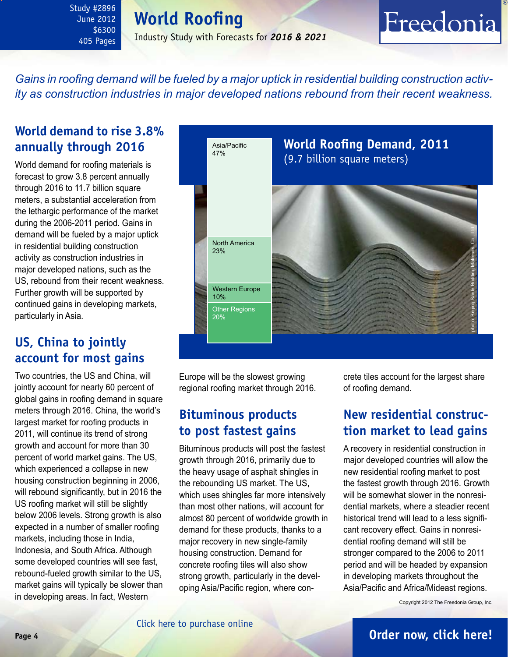# **World Roofing**

June 2012 \$6300 405 Pages

<span id="page-3-0"></span>Study #2896

### Industry Study with Forecasts for *2016 & 2021*

# Freedonia

*Gains in roofing demand will be fueled by a major uptick in residential building construction activity as construction industries in major developed nations rebound from their recent weakness.* 

### **World demand to rise 3.8% annually through 2016**

World demand for roofing materials is forecast to grow 3.8 percent annually through 2016 to 11.7 billion square meters, a substantial acceleration from the lethargic performance of the market during the 2006-2011 period. Gains in demand will be fueled by a major uptick in residential building construction activity as construction industries in major developed nations, such as the US, rebound from their recent weakness. Further growth will be supported by continued gains in developing markets, particularly in Asia.

### **US, China to jointly account for most gains**

Two countries, the US and China, will jointly account for nearly 60 percent of global gains in roofing demand in square meters through 2016. China, the world's largest market for roofing products in 2011, will continue its trend of strong growth and account for more than 30 percent of world market gains. The US, which experienced a collapse in new housing construction beginning in 2006, will rebound significantly, but in 2016 the US roofing market will still be slightly below 2006 levels. Strong growth is also expected in a number of smaller roofing markets, including those in India, Indonesia, and South Africa. Although some developed countries will see fast, rebound-fueled growth similar to the US, market gains will typically be slower than in developing areas. In fact, Western



Europe will be the slowest growing regional roofing market through 2016.

### **Bituminous products to post fastest gains**

Bituminous products will post the fastest growth through 2016, primarily due to the heavy usage of asphalt shingles in the rebounding US market. The US, which uses shingles far more intensively than most other nations, will account for almost 80 percent of worldwide growth in demand for these products, thanks to a major recovery in new single-family housing construction. Demand for concrete roofing tiles will also show strong growth, particularly in the developing Asia/Pacific region, where con-

crete tiles account for the largest share of roofing demand.

### **New residential construction market to lead gains**

A recovery in residential construction in major developed countries will allow the new residential roofing market to post the fastest growth through 2016. Growth will be somewhat slower in the nonresidential markets, where a steadier recent historical trend will lead to a less significant recovery effect. Gains in nonresidential roofing demand will still be stronger compared to the 2006 to 2011 period and will be headed by expansion in developing markets throughout the Asia/Pacific and Africa/Mideast regions.

Copyright 2012 The Freedonia Group, Inc.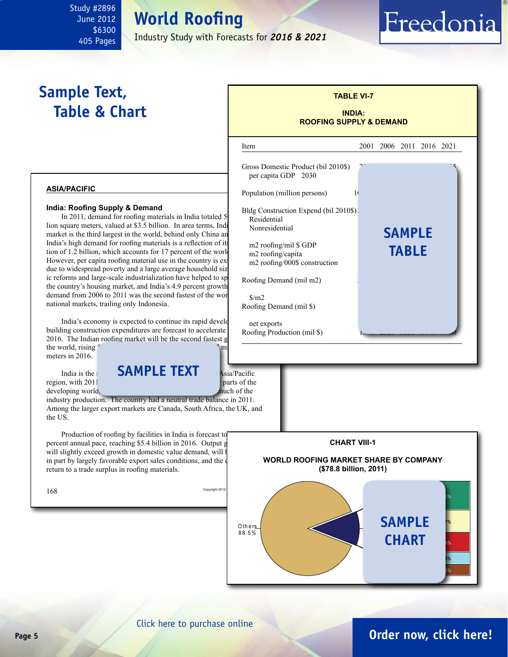# **World Roofing**

Industry Study with Forecasts for *2016 & 2021*

# **Sample Text, Table & Chart**

<span id="page-4-0"></span>Study #2896 June 2012 \$6300 405 Pages

#### **asia/pacific**

#### **India: Roofing Supply & Demand**

In 2011, demand for roofing materials in India totaled 5 lion square meters, valued at \$3.5 billion. In area terms, India market is the third largest in the world, behind only China an India's high demand for roofing materials is a reflection of its tion of 1.2 billion, which accounts for 17 percent of the world However, per capita roofing material use in the country is ex due to widespread poverty and a large average household siz ic reforms and large-scale industrialization have helped to sp the country's housing market, and India's 4.9 percent growth demand from 2006 to 2011 was the second fastest of the worlds  $\frac{\text{S}}{\text{m2}}$ national markets, trailing only Indonesia.

India's economy is expected to continue its rapid development, and building construction expenditures are forecast to accelerate 2016. The Indian roofing market will be the second fastest g the world, rising  $\sim$ meters in 2016.

India is the **SAMPLE TEXT** Asia/Pacific region, with 2011 **output of the state of the state of the state of the state of the state of the state of the state of the state of the state of the state of the state of the state of the state of the state of the state o** 

industry production. The country had a neutral trade balance in 2011. Among the larger export markets are Canada, South Africa, the UK, and the US.

Production of roofing by facilities in India is forecast to percent annual pace, reaching  $$5.4$  billion in 2016. Output g will slightly exceed growth in domestic value demand, will be in part by largely favorable export sales conditions, and the  $\phi$ return to a trade surplus in roofing materials.

developing world,



**TABLE VI-7**

Freedonia



### **Page 5 [Order now, click here!](#page-6-0)**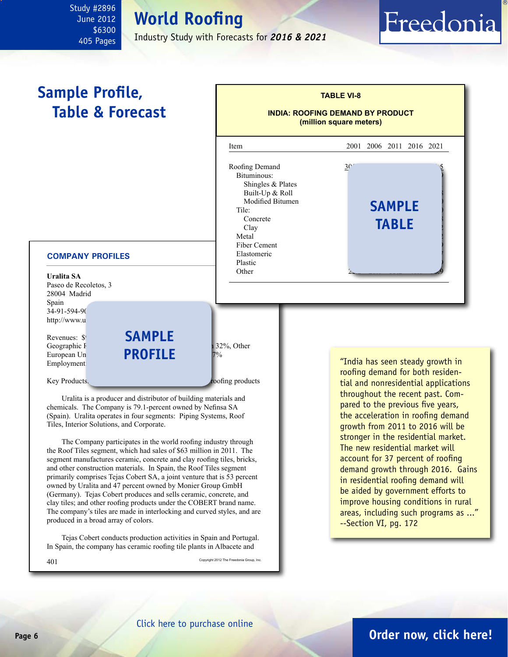### <span id="page-5-0"></span>Study #2896 June 2012 \$6300 405 Pages

# **World Roofing**

Industry Study with Forecasts for *2016 & 2021*

# Freedonia



 The Company participates in the world roofing industry through the Roof Tiles segment, which had sales of \$63 million in 2011. The segment manufactures ceramic, concrete and clay roofing tiles, bricks, and other construction materials. In Spain, the Roof Tiles segment primarily comprises Tejas Cobert SA, a joint venture that is 53 percent owned by Uralita and 47 percent owned by Monier Group GmbH (Germany). Tejas Cobert produces and sells ceramic, concrete, and clay tiles; and other roofing products under the COBERT brand name. The company's tiles are made in interlocking and curved styles, and are produced in a broad array of colors.

 Tejas Cobert conducts production activities in Spain and Portugal. In Spain, the company has ceramic roofing tile plants in Albacete and

 $401$  Copyright 2012 The Freedonia Group, Inc.

growth from 2011 to 2016 will be stronger in the residential market. The new residential market will account for 37 percent of roofing demand growth through 2016. Gains in residential roofing demand will be aided by government efforts to improve housing conditions in rural areas, including such programs as ..." --Section VI, pg. 172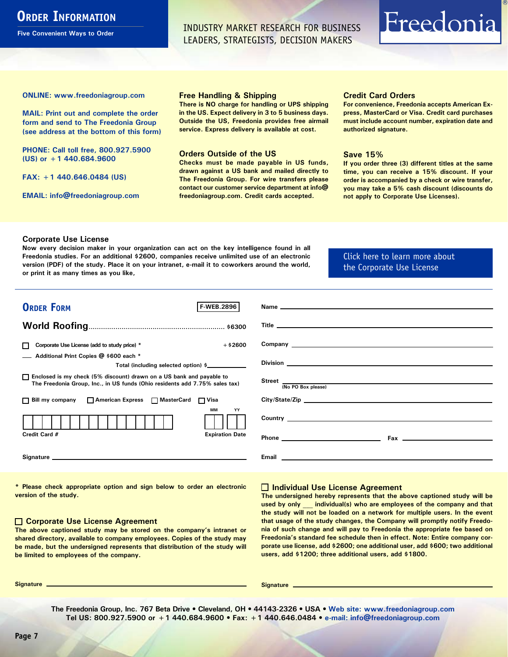## <span id="page-6-0"></span>**ORDER INFORMATION**

**Five Convenient Ways to Order**

INDUSTRY MARKET RESEARCH FOR BUSINESS LEADERS, STRATEGISTS, DECISION MAKERS

# Freedonia

**ONLINE: [www.freedoniagroup.com](http://www.freedoniagroup.com/DocumentDetails.aspx?Referrerid=FM-Bro&StudyID=2896)**

**MAIL: Print out and complete the order form and send to The Freedonia Group (see address at the bottom of this form)**

**PHONE: Call toll free, 800.927.5900 (US) or +1 440.684.9600**

**FAX: +1 440.646.0484 (US)**

**EMAIL: [info@freedoniagroup.com](mailto:info@freedoniagroup.com)**

#### **Free Handling & Shipping**

**There is NO charge for handling or UPS shipping in the US. Expect delivery in 3 to 5 business days. Outside the US, Freedonia provides free airmail service. Express delivery is available at cost.**

#### **Orders Outside of the US**

**Checks must be made payable in US funds, drawn against a US bank and mailed directly to The Freedonia Group. For wire transfers please contact our customer service department at info@ freedoniagroup.com. Credit cards accepted.**

#### **Credit Card Orders**

**For convenience, Freedonia accepts American Express, MasterCard or Visa. Credit card purchases must include account number, expiration date and authorized signature.**

#### **Save 15%**

**If you order three (3) different titles at the same time, you can receive a 15% discount. If your order is accompanied by a check or wire transfer, you may take a 5% cash discount (discounts do not apply to Corporate Use Licenses).**

#### **Corporate Use License**

**Now every decision maker in your organization can act on the key intelligence found in all Freedonia studies. For an additional \$2600, companies receive unlimited use of an electronic version (PDF) of the study. Place it on your intranet, e-mail it to coworkers around the world, or print it as many times as you like,** 

### [Click here to learn more about](http://www.freedoniagroup.com/pdf/FreedoniaCULBro.pdf)  [the Corporate Use License](http://www.freedoniagroup.com/pdf/FreedoniaCULBro.pdf)

| <b>ORDER FORM</b><br><b>F-WEB.2896</b>                                                                                                                                                                                         |                                                                                                                                                                                                                                      |
|--------------------------------------------------------------------------------------------------------------------------------------------------------------------------------------------------------------------------------|--------------------------------------------------------------------------------------------------------------------------------------------------------------------------------------------------------------------------------------|
|                                                                                                                                                                                                                                |                                                                                                                                                                                                                                      |
|                                                                                                                                                                                                                                |                                                                                                                                                                                                                                      |
|                                                                                                                                                                                                                                |                                                                                                                                                                                                                                      |
| Corporate Use License (add to study price) *<br>$+$ \$2600                                                                                                                                                                     |                                                                                                                                                                                                                                      |
| Additional Print Copies @ \$600 each *                                                                                                                                                                                         |                                                                                                                                                                                                                                      |
| Total (including selected option) \$                                                                                                                                                                                           |                                                                                                                                                                                                                                      |
| □ Enclosed is my check (5% discount) drawn on a US bank and payable to<br>The Freedonia Group, Inc., in US funds (Ohio residents add 7.75% sales tax)                                                                          | Street (No PO Box please)                                                                                                                                                                                                            |
|                                                                                                                                                                                                                                |                                                                                                                                                                                                                                      |
| □ Bill my company □ American Express □ MasterCard □ Visa                                                                                                                                                                       | City/State/Zip                                                                                                                                                                                                                       |
| <b>MM</b><br>YY                                                                                                                                                                                                                |                                                                                                                                                                                                                                      |
|                                                                                                                                                                                                                                |                                                                                                                                                                                                                                      |
| Credit Card #<br><b>Expiration Date</b>                                                                                                                                                                                        |                                                                                                                                                                                                                                      |
|                                                                                                                                                                                                                                |                                                                                                                                                                                                                                      |
| Signature experience and the state of the state of the state of the state of the state of the state of the state of the state of the state of the state of the state of the state of the state of the state of the state of th | Email <b>Experience and Contract Contract Contract Contract Contract Contract Contract Contract Contract Contract Contract Contract Contract Contract Contract Contract Contract Contract Contract Contract Contract Contract Co</b> |
|                                                                                                                                                                                                                                |                                                                                                                                                                                                                                      |

**\* Please check appropriate option and sign below to order an electronic version of the study.**

#### **Corporate Use License Agreement**

**The above captioned study may be stored on the company's intranet or shared directory, available to company employees. Copies of the study may be made, but the undersigned represents that distribution of the study will be limited to employees of the company.**

#### **Individual Use License Agreement**

**The undersigned hereby represents that the above captioned study will be used by only \_\_\_ individual(s) who are employees of the company and that the study will not be loaded on a network for multiple users. In the event that usage of the study changes, the Company will promptly notify Freedonia of such change and will pay to Freedonia the appropriate fee based on Freedonia's standard fee schedule then in effect. Note: Entire company corporate use license, add \$2600; one additional user, add \$600; two additional users, add \$1200; three additional users, add \$1800.**

**Signature Signature**

**The Freedonia Group, Inc. 767 Beta Drive • Cleveland, OH • 44143-2326 • USA • [Web site: www.freedoniagroup.com](http://www.freedoniagroup.com/Home.aspx?ReferrerId=FM-Bro) Tel US: 800.927.5900 or +1 440.684.9600 • Fax: +1 440.646.0484 • [e-mail: info@freedoniagroup.com](mailto:info@freedoniagroup.com)**